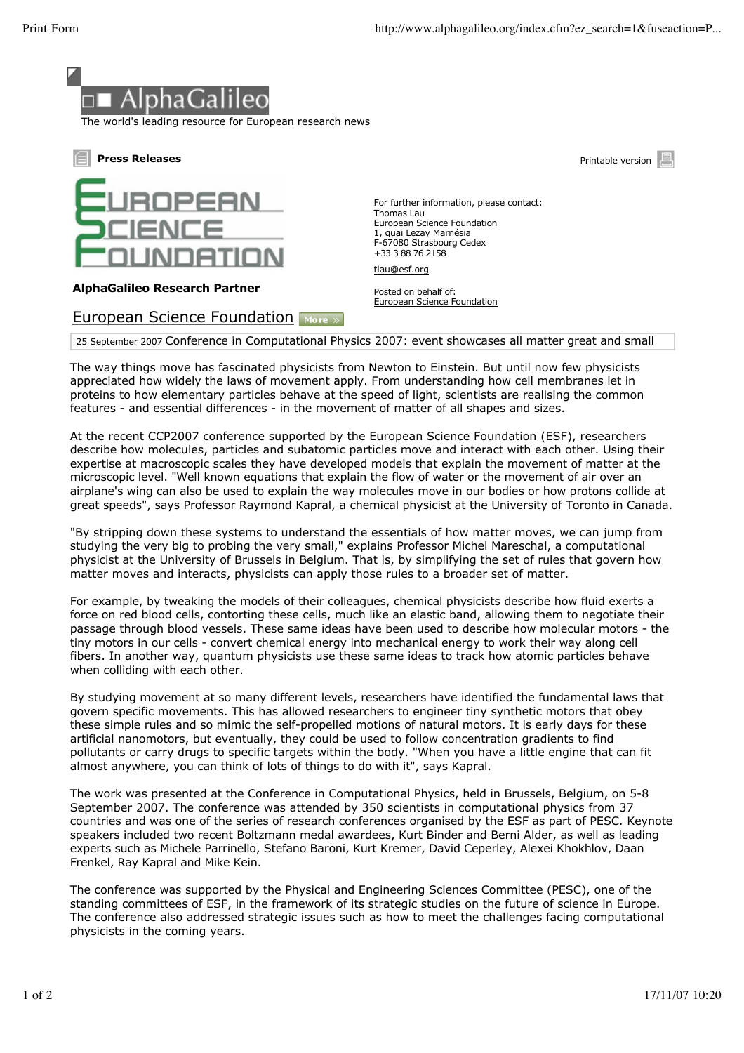

The world's leading resource for European research news



## **AlphaGalileo Research Partner**

## European Science Foundation More »

For further information, please contact: Thomas Lau European Science Foundation 1, quai Lezay Marnésia F-67080 Strasbourg Cedex +33 3 88 76 2158

tlau@esf.org

Posted on behalf of: European Science Foundation

25 September 2007 Conference in Computational Physics 2007: event showcases all matter great and small

The way things move has fascinated physicists from Newton to Einstein. But until now few physicists appreciated how widely the laws of movement apply. From understanding how cell membranes let in proteins to how elementary particles behave at the speed of light, scientists are realising the common features - and essential differences - in the movement of matter of all shapes and sizes.

At the recent CCP2007 conference supported by the European Science Foundation (ESF), researchers describe how molecules, particles and subatomic particles move and interact with each other. Using their expertise at macroscopic scales they have developed models that explain the movement of matter at the microscopic level. "Well known equations that explain the flow of water or the movement of air over an airplane's wing can also be used to explain the way molecules move in our bodies or how protons collide at great speeds", says Professor Raymond Kapral, a chemical physicist at the University of Toronto in Canada.

"By stripping down these systems to understand the essentials of how matter moves, we can jump from studying the very big to probing the very small," explains Professor Michel Mareschal, a computational physicist at the University of Brussels in Belgium. That is, by simplifying the set of rules that govern how matter moves and interacts, physicists can apply those rules to a broader set of matter.

For example, by tweaking the models of their colleagues, chemical physicists describe how fluid exerts a force on red blood cells, contorting these cells, much like an elastic band, allowing them to negotiate their passage through blood vessels. These same ideas have been used to describe how molecular motors - the tiny motors in our cells - convert chemical energy into mechanical energy to work their way along cell fibers. In another way, quantum physicists use these same ideas to track how atomic particles behave when colliding with each other.

By studying movement at so many different levels, researchers have identified the fundamental laws that govern specific movements. This has allowed researchers to engineer tiny synthetic motors that obey these simple rules and so mimic the self-propelled motions of natural motors. It is early days for these artificial nanomotors, but eventually, they could be used to follow concentration gradients to find pollutants or carry drugs to specific targets within the body. "When you have a little engine that can fit almost anywhere, you can think of lots of things to do with it", says Kapral.

The work was presented at the Conference in Computational Physics, held in Brussels, Belgium, on 5-8 September 2007. The conference was attended by 350 scientists in computational physics from 37 countries and was one of the series of research conferences organised by the ESF as part of PESC. Keynote speakers included two recent Boltzmann medal awardees, Kurt Binder and Berni Alder, as well as leading experts such as Michele Parrinello, Stefano Baroni, Kurt Kremer, David Ceperley, Alexei Khokhlov, Daan Frenkel, Ray Kapral and Mike Kein.

The conference was supported by the Physical and Engineering Sciences Committee (PESC), one of the standing committees of ESF, in the framework of its strategic studies on the future of science in Europe. The conference also addressed strategic issues such as how to meet the challenges facing computational physicists in the coming years.